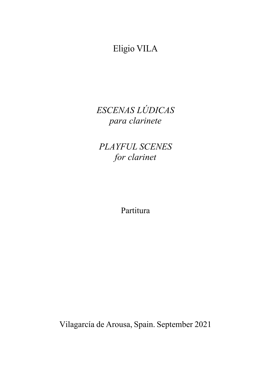Eligio VILA

*ESCENAS LÚDICAS para clarinete*

*PLAYFUL SCENES for clarinet*

Partitura

Vilagarcía de Arousa, Spain. September 2021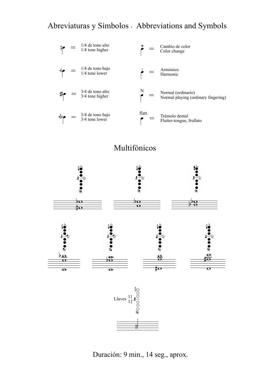## Abreviaturas y Símbolos . Abbreviations and Symbols







Duración: 9 min., 14 seg., aprox.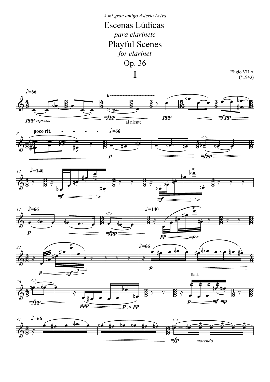## Escenas Lúdicas *para clarinete* I Playful Scenes *for clarinet* Op. 36 *A mi gran amigo Asterio Leiva*

Eligio VILA (\*1943)











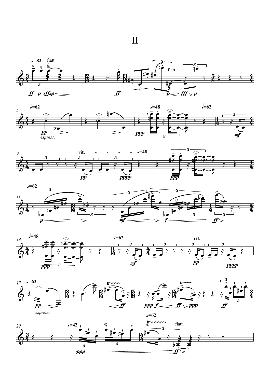











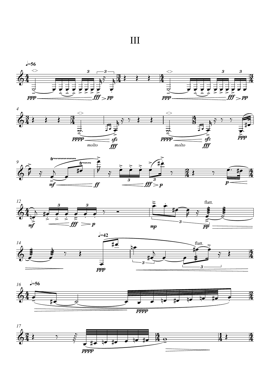